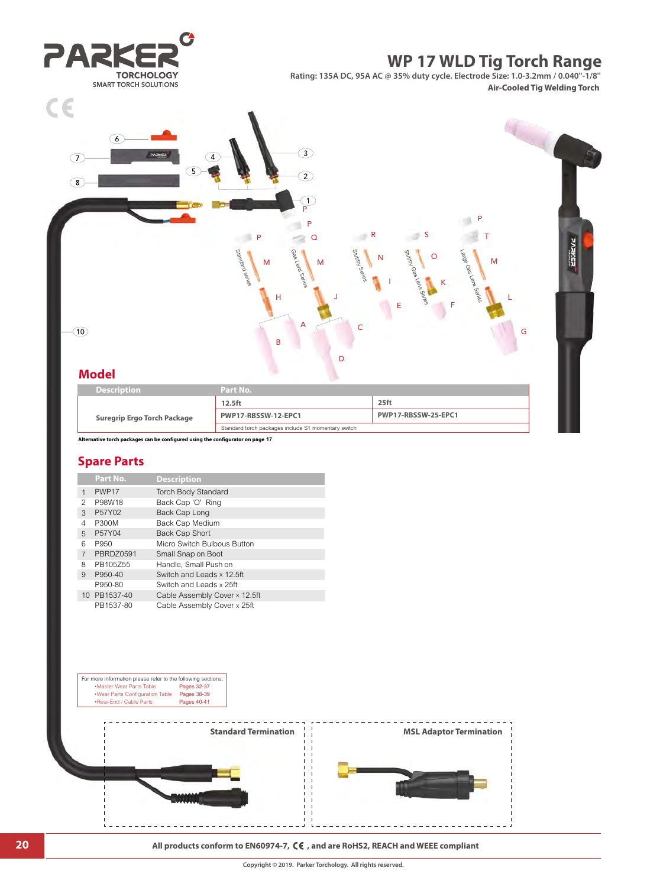

- 
- PB1537-80 Cable Assembly Cover x 25ft